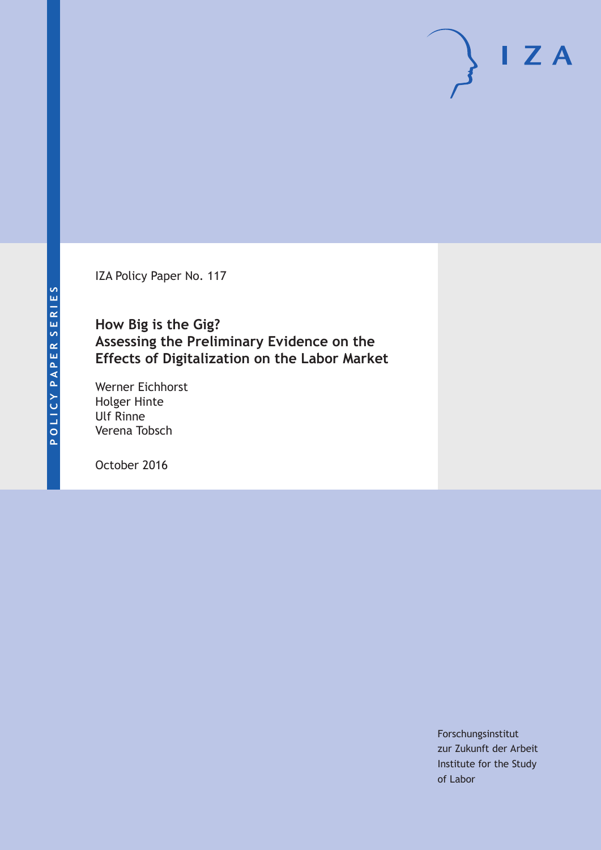IZA Policy Paper No. 117

### **How Big is the Gig? Assessing the Preliminary Evidence on the Effects of Digitalization on the Labor Market**

Werner Eichhorst Holger Hinte Ulf Rinne Verena Tobsch

October 2016

Forschungsinstitut zur Zukunft der Arbeit Institute for the Study of Labor

 $I Z A$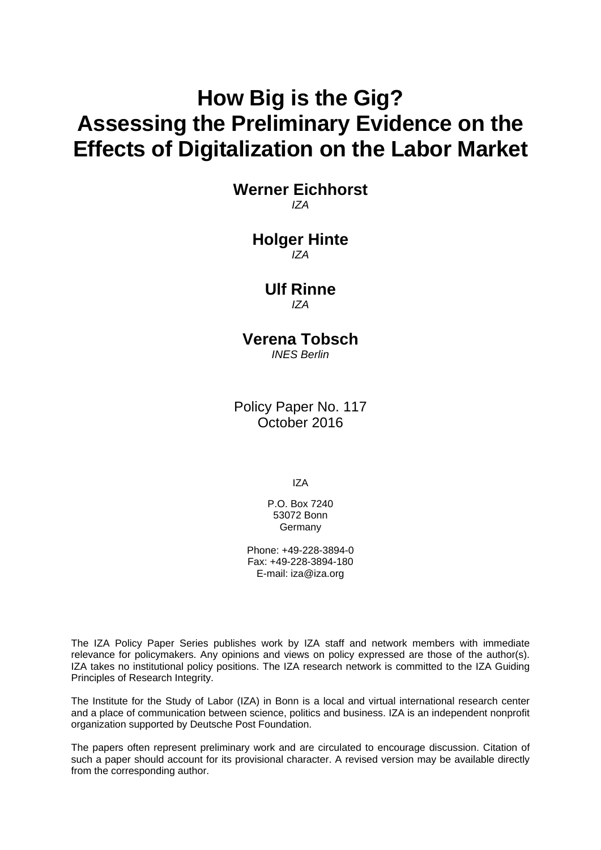# **How Big is the Gig? Assessing the Preliminary Evidence on the Effects of Digitalization on the Labor Market**

**Werner Eichhorst**  *IZA* 

> **Holger Hinte**  *IZA*

### **Ulf Rinne**  *IZA*

## **Verena Tobsch**

*INES Berlin* 

Policy Paper No. 117 October 2016

IZA

P.O. Box 7240 53072 Bonn **Germany** 

Phone: +49-228-3894-0 Fax: +49-228-3894-180 E-mail: iza@iza.org

The IZA Policy Paper Series publishes work by IZA staff and network members with immediate relevance for policymakers. Any opinions and views on policy expressed are those of the author(s). IZA takes no institutional policy positions. The IZA research network is committed to the IZA Guiding Principles of Research Integrity.

The Institute for the Study of Labor (IZA) in Bonn is a local and virtual international research center and a place of communication between science, politics and business. IZA is an independent nonprofit organization supported by Deutsche Post Foundation.

The papers often represent preliminary work and are circulated to encourage discussion. Citation of such a paper should account for its provisional character. A revised version may be available directly from the corresponding author.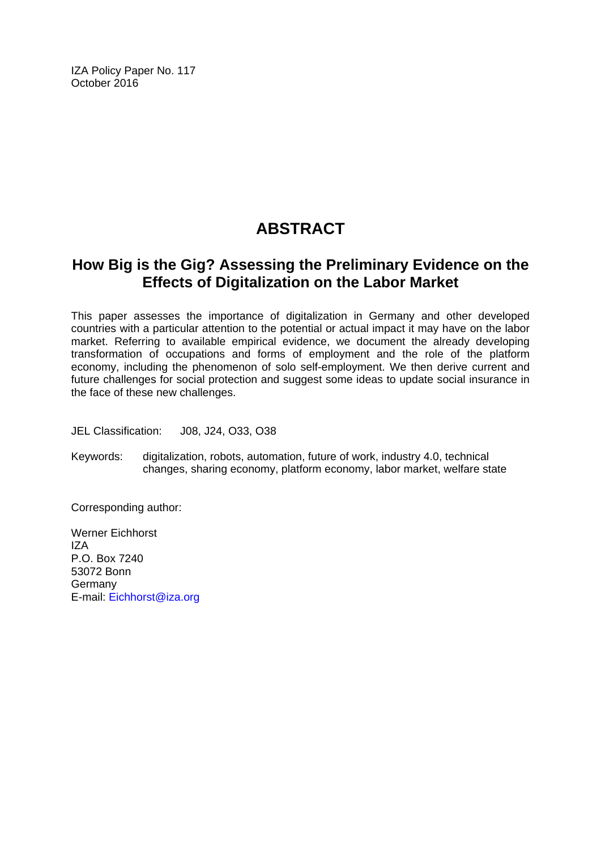IZA Policy Paper No. 117 October 2016

## **ABSTRACT**

### **How Big is the Gig? Assessing the Preliminary Evidence on the Effects of Digitalization on the Labor Market**

This paper assesses the importance of digitalization in Germany and other developed countries with a particular attention to the potential or actual impact it may have on the labor market. Referring to available empirical evidence, we document the already developing transformation of occupations and forms of employment and the role of the platform economy, including the phenomenon of solo self-employment. We then derive current and future challenges for social protection and suggest some ideas to update social insurance in the face of these new challenges.

JEL Classification: J08, J24, O33, O38

Keywords: digitalization, robots, automation, future of work, industry 4.0, technical changes, sharing economy, platform economy, labor market, welfare state

Corresponding author:

Werner Eichhorst IZA P.O. Box 7240 53072 Bonn **Germany** E-mail: Eichhorst@iza.org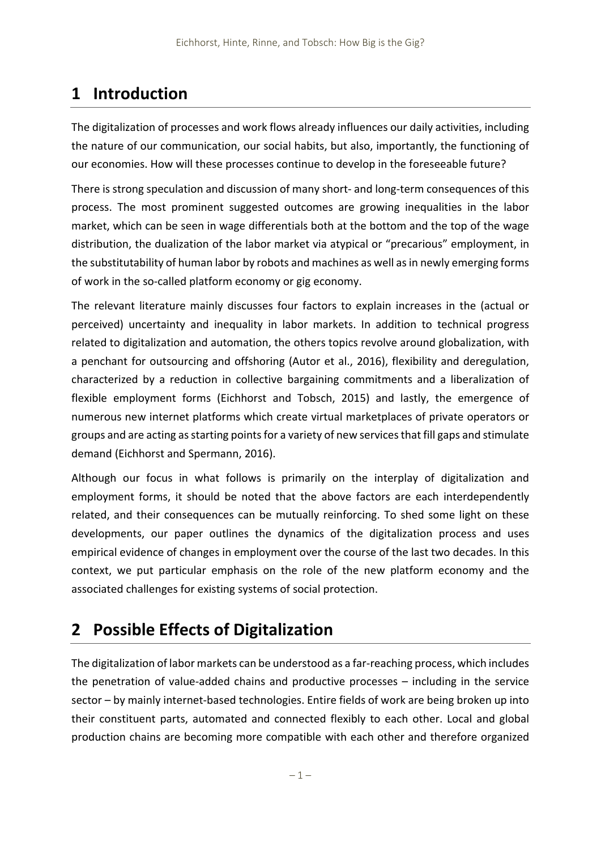## **1 Introduction**

The digitalization of processes and work flows already influences our daily activities, including the nature of our communication, our social habits, but also, importantly, the functioning of our economies. How will these processes continue to develop in the foreseeable future?

There is strong speculation and discussion of many short‐ and long‐term consequences of this process. The most prominent suggested outcomes are growing inequalities in the labor market, which can be seen in wage differentials both at the bottom and the top of the wage distribution, the dualization of the labor market via atypical or "precarious" employment, in the substitutability of human labor by robots and machines as well as in newly emerging forms of work in the so‐called platform economy or gig economy.

The relevant literature mainly discusses four factors to explain increases in the (actual or perceived) uncertainty and inequality in labor markets. In addition to technical progress related to digitalization and automation, the others topics revolve around globalization, with a penchant for outsourcing and offshoring (Autor et al., 2016), flexibility and deregulation, characterized by a reduction in collective bargaining commitments and a liberalization of flexible employment forms (Eichhorst and Tobsch, 2015) and lastly, the emergence of numerous new internet platforms which create virtual marketplaces of private operators or groups and are acting as starting points for a variety of new services that fill gaps and stimulate demand (Eichhorst and Spermann, 2016).

Although our focus in what follows is primarily on the interplay of digitalization and employment forms, it should be noted that the above factors are each interdependently related, and their consequences can be mutually reinforcing. To shed some light on these developments, our paper outlines the dynamics of the digitalization process and uses empirical evidence of changes in employment over the course of the last two decades. In this context, we put particular emphasis on the role of the new platform economy and the associated challenges for existing systems of social protection.

## **2 Possible Effects of Digitalization**

The digitalization of labor markets can be understood as a far-reaching process, which includes the penetration of value‐added chains and productive processes – including in the service sector – by mainly internet-based technologies. Entire fields of work are being broken up into their constituent parts, automated and connected flexibly to each other. Local and global production chains are becoming more compatible with each other and therefore organized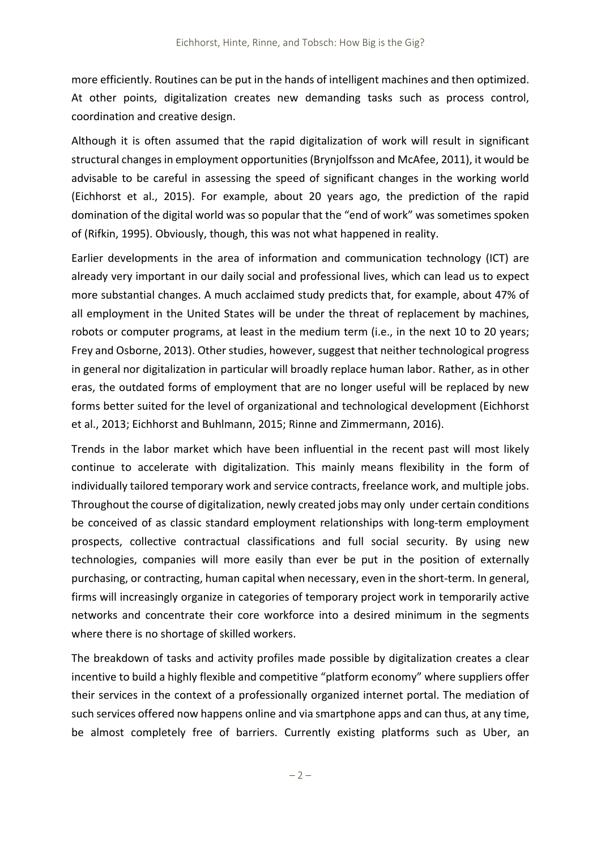more efficiently. Routines can be put in the hands of intelligent machines and then optimized. At other points, digitalization creates new demanding tasks such as process control, coordination and creative design.

Although it is often assumed that the rapid digitalization of work will result in significant structural changes in employment opportunities (Brynjolfsson and McAfee, 2011), it would be advisable to be careful in assessing the speed of significant changes in the working world (Eichhorst et al., 2015). For example, about 20 years ago, the prediction of the rapid domination of the digital world was so popular that the "end of work" was sometimes spoken of (Rifkin, 1995). Obviously, though, this was not what happened in reality.

Earlier developments in the area of information and communication technology (ICT) are already very important in our daily social and professional lives, which can lead us to expect more substantial changes. A much acclaimed study predicts that, for example, about 47% of all employment in the United States will be under the threat of replacement by machines, robots or computer programs, at least in the medium term (i.e., in the next 10 to 20 years; Frey and Osborne, 2013). Other studies, however, suggest that neither technological progress in general nor digitalization in particular will broadly replace human labor. Rather, as in other eras, the outdated forms of employment that are no longer useful will be replaced by new forms better suited for the level of organizational and technological development (Eichhorst et al., 2013; Eichhorst and Buhlmann, 2015; Rinne and Zimmermann, 2016).

Trends in the labor market which have been influential in the recent past will most likely continue to accelerate with digitalization. This mainly means flexibility in the form of individually tailored temporary work and service contracts, freelance work, and multiple jobs. Throughout the course of digitalization, newly created jobs may only under certain conditions be conceived of as classic standard employment relationships with long-term employment prospects, collective contractual classifications and full social security. By using new technologies, companies will more easily than ever be put in the position of externally purchasing, or contracting, human capital when necessary, even in the short‐term. In general, firms will increasingly organize in categories of temporary project work in temporarily active networks and concentrate their core workforce into a desired minimum in the segments where there is no shortage of skilled workers.

The breakdown of tasks and activity profiles made possible by digitalization creates a clear incentive to build a highly flexible and competitive "platform economy" where suppliers offer their services in the context of a professionally organized internet portal. The mediation of such services offered now happens online and via smartphone apps and can thus, at any time, be almost completely free of barriers. Currently existing platforms such as Uber, an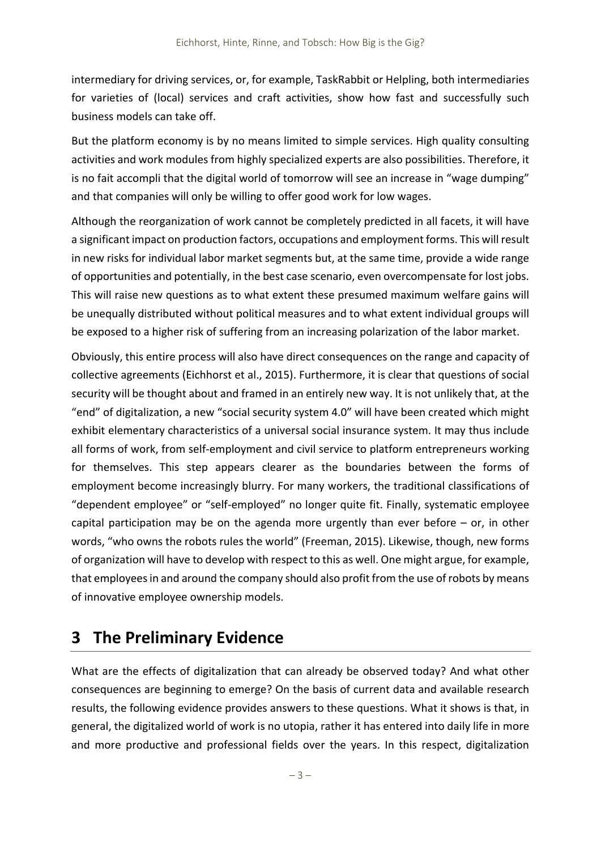intermediary for driving services, or, for example, TaskRabbit or Helpling, both intermediaries for varieties of (local) services and craft activities, show how fast and successfully such business models can take off.

But the platform economy is by no means limited to simple services. High quality consulting activities and work modules from highly specialized experts are also possibilities. Therefore, it is no fait accompli that the digital world of tomorrow will see an increase in "wage dumping" and that companies will only be willing to offer good work for low wages.

Although the reorganization of work cannot be completely predicted in all facets, it will have a significant impact on production factors, occupations and employment forms. This will result in new risks for individual labor market segments but, at the same time, provide a wide range of opportunities and potentially, in the best case scenario, even overcompensate for lost jobs. This will raise new questions as to what extent these presumed maximum welfare gains will be unequally distributed without political measures and to what extent individual groups will be exposed to a higher risk of suffering from an increasing polarization of the labor market.

Obviously, this entire process will also have direct consequences on the range and capacity of collective agreements (Eichhorst et al., 2015). Furthermore, it is clear that questions of social security will be thought about and framed in an entirely new way. It is not unlikely that, at the "end" of digitalization, a new "social security system 4.0" will have been created which might exhibit elementary characteristics of a universal social insurance system. It may thus include all forms of work, from self-employment and civil service to platform entrepreneurs working for themselves. This step appears clearer as the boundaries between the forms of employment become increasingly blurry. For many workers, the traditional classifications of "dependent employee" or "self‐employed" no longer quite fit. Finally, systematic employee capital participation may be on the agenda more urgently than ever before  $-$  or, in other words, "who owns the robots rules the world" (Freeman, 2015). Likewise, though, new forms of organization will have to develop with respect to this as well. One might argue, for example, that employeesin and around the company should also profit from the use of robots by means of innovative employee ownership models.

## **3 The Preliminary Evidence**

What are the effects of digitalization that can already be observed today? And what other consequences are beginning to emerge? On the basis of current data and available research results, the following evidence provides answers to these questions. What it shows is that, in general, the digitalized world of work is no utopia, rather it has entered into daily life in more and more productive and professional fields over the years. In this respect, digitalization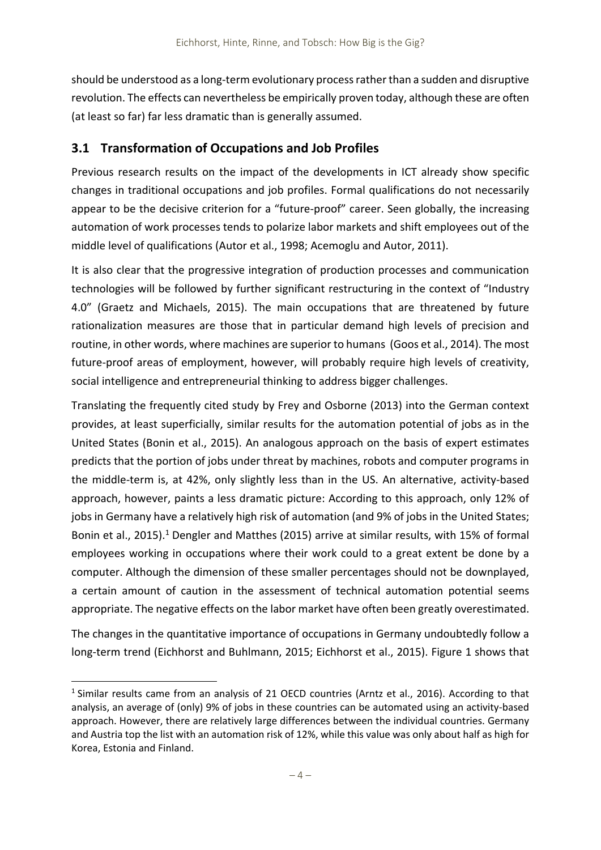should be understood as a long-term evolutionary process rather than a sudden and disruptive revolution. The effects can nevertheless be empirically proven today, although these are often (at least so far) far less dramatic than is generally assumed.

### **3.1 Transformation of Occupations and Job Profiles**

Previous research results on the impact of the developments in ICT already show specific changes in traditional occupations and job profiles. Formal qualifications do not necessarily appear to be the decisive criterion for a "future‐proof" career. Seen globally, the increasing automation of work processes tends to polarize labor markets and shift employees out of the middle level of qualifications (Autor et al., 1998; Acemoglu and Autor, 2011).

It is also clear that the progressive integration of production processes and communication technologies will be followed by further significant restructuring in the context of "Industry 4.0" (Graetz and Michaels, 2015). The main occupations that are threatened by future rationalization measures are those that in particular demand high levels of precision and routine, in other words, where machines are superior to humans (Goos et al., 2014). The most future-proof areas of employment, however, will probably require high levels of creativity, social intelligence and entrepreneurial thinking to address bigger challenges.

Translating the frequently cited study by Frey and Osborne (2013) into the German context provides, at least superficially, similar results for the automation potential of jobs as in the United States (Bonin et al., 2015). An analogous approach on the basis of expert estimates predicts that the portion of jobs under threat by machines, robots and computer programs in the middle‐term is, at 42%, only slightly less than in the US. An alternative, activity‐based approach, however, paints a less dramatic picture: According to this approach, only 12% of jobs in Germany have a relatively high risk of automation (and 9% of jobs in the United States; Bonin et al., 2015).<sup>1</sup> Dengler and Matthes (2015) arrive at similar results, with 15% of formal employees working in occupations where their work could to a great extent be done by a computer. Although the dimension of these smaller percentages should not be downplayed, a certain amount of caution in the assessment of technical automation potential seems appropriate. The negative effects on the labor market have often been greatly overestimated.

The changes in the quantitative importance of occupations in Germany undoubtedly follow a long‐term trend (Eichhorst and Buhlmann, 2015; Eichhorst et al., 2015). Figure 1 shows that

<sup>&</sup>lt;sup>1</sup> Similar results came from an analysis of 21 OECD countries (Arntz et al., 2016). According to that analysis, an average of (only) 9% of jobs in these countries can be automated using an activity-based approach. However, there are relatively large differences between the individual countries. Germany and Austria top the list with an automation risk of 12%, while this value was only about half as high for Korea, Estonia and Finland.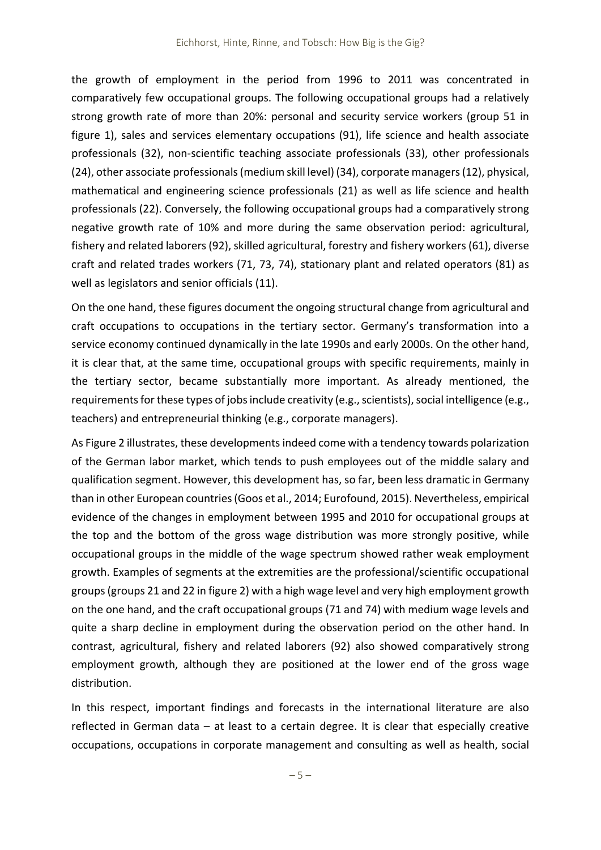the growth of employment in the period from 1996 to 2011 was concentrated in comparatively few occupational groups. The following occupational groups had a relatively strong growth rate of more than 20%: personal and security service workers (group 51 in figure 1), sales and services elementary occupations (91), life science and health associate professionals (32), non‐scientific teaching associate professionals (33), other professionals (24), other associate professionals(medium skill level) (34), corporate managers(12), physical, mathematical and engineering science professionals (21) as well as life science and health professionals (22). Conversely, the following occupational groups had a comparatively strong negative growth rate of 10% and more during the same observation period: agricultural, fishery and related laborers (92), skilled agricultural, forestry and fishery workers (61), diverse craft and related trades workers (71, 73, 74), stationary plant and related operators (81) as well as legislators and senior officials (11).

On the one hand, these figures document the ongoing structural change from agricultural and craft occupations to occupations in the tertiary sector. Germany's transformation into a service economy continued dynamically in the late 1990s and early 2000s. On the other hand, it is clear that, at the same time, occupational groups with specific requirements, mainly in the tertiary sector, became substantially more important. As already mentioned, the requirements for these types of jobs include creativity (e.g., scientists), social intelligence (e.g., teachers) and entrepreneurial thinking (e.g., corporate managers).

As Figure 2 illustrates, these developments indeed come with a tendency towards polarization of the German labor market, which tends to push employees out of the middle salary and qualification segment. However, this development has, so far, been less dramatic in Germany than in other European countries(Goos et al., 2014; Eurofound, 2015). Nevertheless, empirical evidence of the changes in employment between 1995 and 2010 for occupational groups at the top and the bottom of the gross wage distribution was more strongly positive, while occupational groups in the middle of the wage spectrum showed rather weak employment growth. Examples of segments at the extremities are the professional/scientific occupational groups(groups 21 and 22 in figure 2) with a high wage level and very high employment growth on the one hand, and the craft occupational groups (71 and 74) with medium wage levels and quite a sharp decline in employment during the observation period on the other hand. In contrast, agricultural, fishery and related laborers (92) also showed comparatively strong employment growth, although they are positioned at the lower end of the gross wage distribution.

In this respect, important findings and forecasts in the international literature are also reflected in German data – at least to a certain degree. It is clear that especially creative occupations, occupations in corporate management and consulting as well as health, social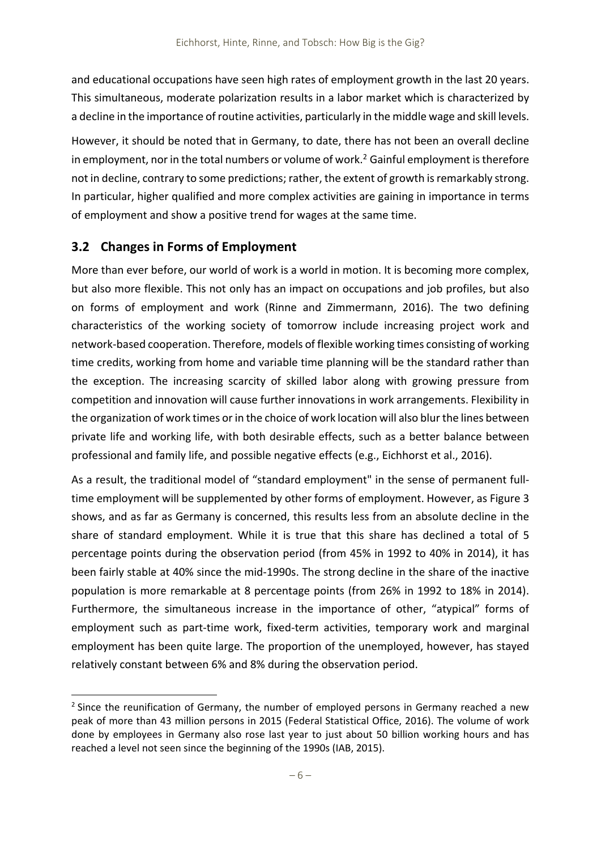and educational occupations have seen high rates of employment growth in the last 20 years. This simultaneous, moderate polarization results in a labor market which is characterized by a decline in the importance of routine activities, particularly in the middle wage and skill levels.

However, it should be noted that in Germany, to date, there has not been an overall decline in employment, nor in the total numbers or volume of work.<sup>2</sup> Gainful employment is therefore not in decline, contrary to some predictions; rather, the extent of growth is remarkably strong. In particular, higher qualified and more complex activities are gaining in importance in terms of employment and show a positive trend for wages at the same time.

### **3.2 Changes in Forms of Employment**

More than ever before, our world of work is a world in motion. It is becoming more complex, but also more flexible. This not only has an impact on occupations and job profiles, but also on forms of employment and work (Rinne and Zimmermann, 2016). The two defining characteristics of the working society of tomorrow include increasing project work and network‐based cooperation. Therefore, models of flexible working times consisting of working time credits, working from home and variable time planning will be the standard rather than the exception. The increasing scarcity of skilled labor along with growing pressure from competition and innovation will cause further innovations in work arrangements. Flexibility in the organization of work times or in the choice of work location will also blur the lines between private life and working life, with both desirable effects, such as a better balance between professional and family life, and possible negative effects (e.g., Eichhorst et al., 2016).

As a result, the traditional model of "standard employment" in the sense of permanent full‐ time employment will be supplemented by other forms of employment. However, as Figure 3 shows, and as far as Germany is concerned, this results less from an absolute decline in the share of standard employment. While it is true that this share has declined a total of 5 percentage points during the observation period (from 45% in 1992 to 40% in 2014), it has been fairly stable at 40% since the mid‐1990s. The strong decline in the share of the inactive population is more remarkable at 8 percentage points (from 26% in 1992 to 18% in 2014). Furthermore, the simultaneous increase in the importance of other, "atypical" forms of employment such as part-time work, fixed-term activities, temporary work and marginal employment has been quite large. The proportion of the unemployed, however, has stayed relatively constant between 6% and 8% during the observation period.

<sup>&</sup>lt;sup>2</sup> Since the reunification of Germany, the number of employed persons in Germany reached a new peak of more than 43 million persons in 2015 (Federal Statistical Office, 2016). The volume of work done by employees in Germany also rose last year to just about 50 billion working hours and has reached a level not seen since the beginning of the 1990s (IAB, 2015).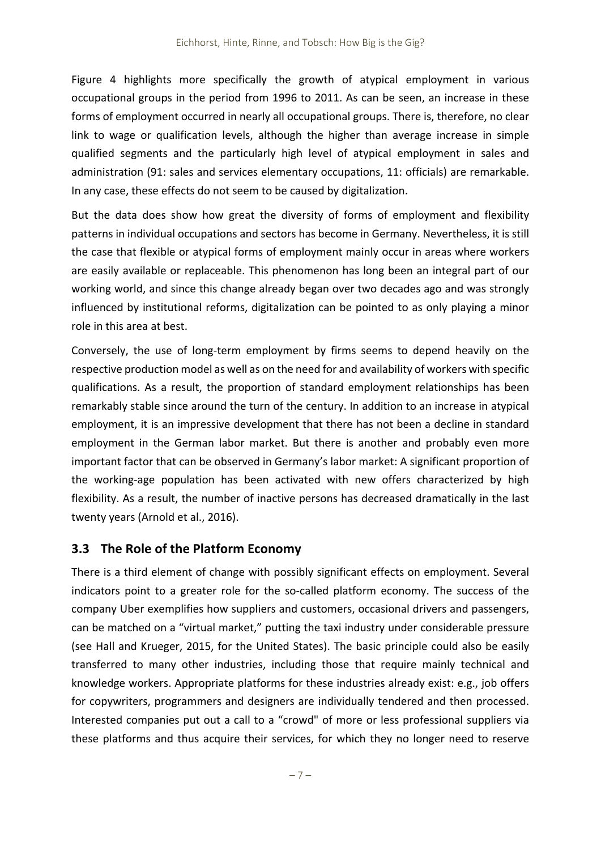Figure 4 highlights more specifically the growth of atypical employment in various occupational groups in the period from 1996 to 2011. As can be seen, an increase in these forms of employment occurred in nearly all occupational groups. There is, therefore, no clear link to wage or qualification levels, although the higher than average increase in simple qualified segments and the particularly high level of atypical employment in sales and administration (91: sales and services elementary occupations, 11: officials) are remarkable. In any case, these effects do not seem to be caused by digitalization.

But the data does show how great the diversity of forms of employment and flexibility patterns in individual occupations and sectors has become in Germany. Nevertheless, it is still the case that flexible or atypical forms of employment mainly occur in areas where workers are easily available or replaceable. This phenomenon has long been an integral part of our working world, and since this change already began over two decades ago and was strongly influenced by institutional reforms, digitalization can be pointed to as only playing a minor role in this area at best.

Conversely, the use of long‐term employment by firms seems to depend heavily on the respective production model as well as on the need for and availability of workers with specific qualifications. As a result, the proportion of standard employment relationships has been remarkably stable since around the turn of the century. In addition to an increase in atypical employment, it is an impressive development that there has not been a decline in standard employment in the German labor market. But there is another and probably even more important factor that can be observed in Germany's labor market: A significant proportion of the working‐age population has been activated with new offers characterized by high flexibility. As a result, the number of inactive persons has decreased dramatically in the last twenty years (Arnold et al., 2016).

### **3.3 The Role of the Platform Economy**

There is a third element of change with possibly significant effects on employment. Several indicators point to a greater role for the so-called platform economy. The success of the company Uber exemplifies how suppliers and customers, occasional drivers and passengers, can be matched on a "virtual market," putting the taxi industry under considerable pressure (see Hall and Krueger, 2015, for the United States). The basic principle could also be easily transferred to many other industries, including those that require mainly technical and knowledge workers. Appropriate platforms for these industries already exist: e.g., job offers for copywriters, programmers and designers are individually tendered and then processed. Interested companies put out a call to a "crowd" of more or less professional suppliers via these platforms and thus acquire their services, for which they no longer need to reserve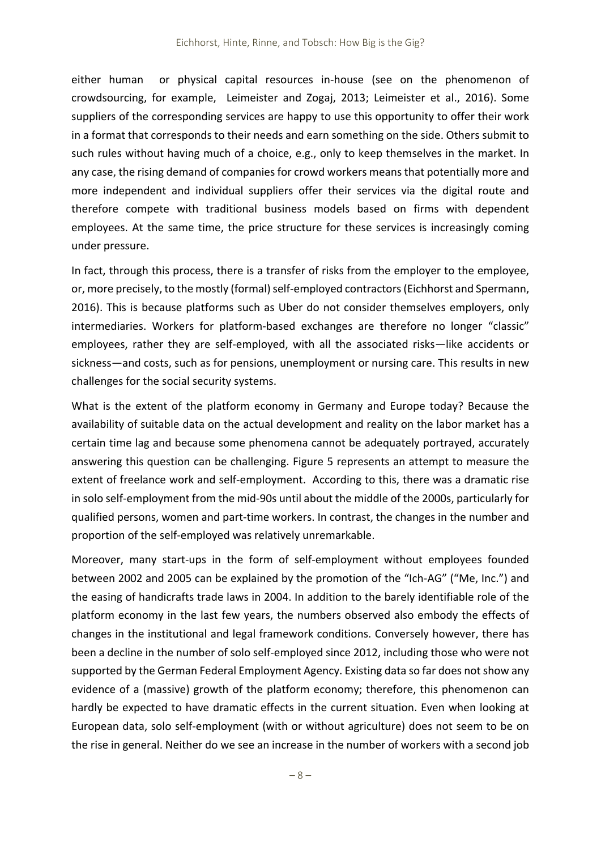either human or physical capital resources in-house (see on the phenomenon of crowdsourcing, for example, Leimeister and Zogaj, 2013; Leimeister et al., 2016). Some suppliers of the corresponding services are happy to use this opportunity to offer their work in a format that corresponds to their needs and earn something on the side. Others submit to such rules without having much of a choice, e.g., only to keep themselves in the market. In any case, the rising demand of companies for crowd workers means that potentially more and more independent and individual suppliers offer their services via the digital route and therefore compete with traditional business models based on firms with dependent employees. At the same time, the price structure for these services is increasingly coming under pressure.

In fact, through this process, there is a transfer of risks from the employer to the employee, or, more precisely, to the mostly (formal) self-employed contractors (Eichhorst and Spermann, 2016). This is because platforms such as Uber do not consider themselves employers, only intermediaries. Workers for platform-based exchanges are therefore no longer "classic" employees, rather they are self‐employed, with all the associated risks—like accidents or sickness—and costs, such as for pensions, unemployment or nursing care. This results in new challenges for the social security systems.

What is the extent of the platform economy in Germany and Europe today? Because the availability of suitable data on the actual development and reality on the labor market has a certain time lag and because some phenomena cannot be adequately portrayed, accurately answering this question can be challenging. Figure 5 represents an attempt to measure the extent of freelance work and self-employment. According to this, there was a dramatic rise in solo self‐employment from the mid‐90s until about the middle of the 2000s, particularly for qualified persons, women and part‐time workers. In contrast, the changes in the number and proportion of the self‐employed was relatively unremarkable.

Moreover, many start-ups in the form of self-employment without employees founded between 2002 and 2005 can be explained by the promotion of the "Ich-AG" ("Me, Inc.") and the easing of handicrafts trade laws in 2004. In addition to the barely identifiable role of the platform economy in the last few years, the numbers observed also embody the effects of changes in the institutional and legal framework conditions. Conversely however, there has been a decline in the number of solo self-employed since 2012, including those who were not supported by the German Federal Employment Agency. Existing data so far does not show any evidence of a (massive) growth of the platform economy; therefore, this phenomenon can hardly be expected to have dramatic effects in the current situation. Even when looking at European data, solo self‐employment (with or without agriculture) does not seem to be on the rise in general. Neither do we see an increase in the number of workers with a second job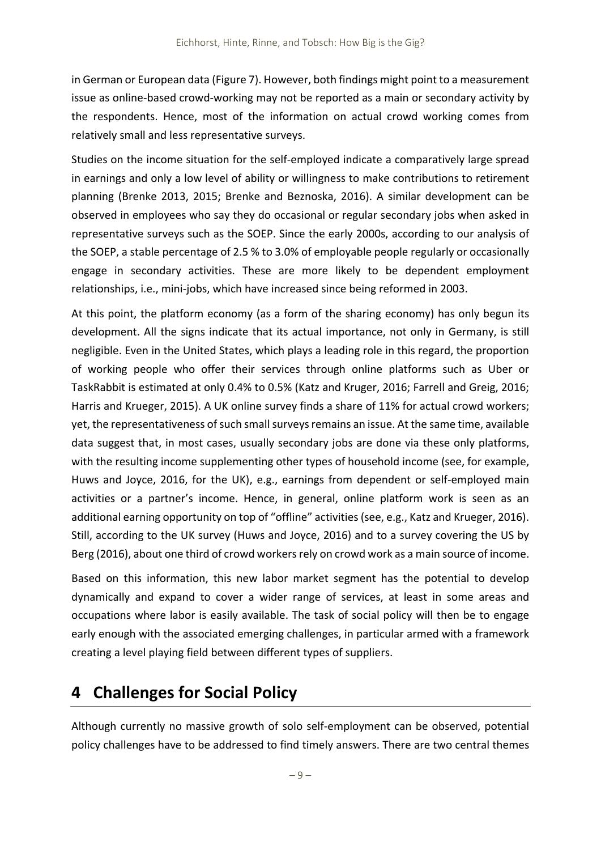in German or European data (Figure 7). However, both findings might point to a measurement issue as online‐based crowd‐working may not be reported as a main or secondary activity by the respondents. Hence, most of the information on actual crowd working comes from relatively small and less representative surveys.

Studies on the income situation for the self‐employed indicate a comparatively large spread in earnings and only a low level of ability or willingness to make contributions to retirement planning (Brenke 2013, 2015; Brenke and Beznoska, 2016). A similar development can be observed in employees who say they do occasional or regular secondary jobs when asked in representative surveys such as the SOEP. Since the early 2000s, according to our analysis of the SOEP, a stable percentage of 2.5 % to 3.0% of employable people regularly or occasionally engage in secondary activities. These are more likely to be dependent employment relationships, i.e., mini‐jobs, which have increased since being reformed in 2003.

At this point, the platform economy (as a form of the sharing economy) has only begun its development. All the signs indicate that its actual importance, not only in Germany, is still negligible. Even in the United States, which plays a leading role in this regard, the proportion of working people who offer their services through online platforms such as Uber or TaskRabbit is estimated at only 0.4% to 0.5% (Katz and Kruger, 2016; Farrell and Greig, 2016; Harris and Krueger, 2015). A UK online survey finds a share of 11% for actual crowd workers; yet, the representativeness of such small surveys remains an issue. At the same time, available data suggest that, in most cases, usually secondary jobs are done via these only platforms, with the resulting income supplementing other types of household income (see, for example, Huws and Joyce, 2016, for the UK), e.g., earnings from dependent or self-employed main activities or a partner's income. Hence, in general, online platform work is seen as an additional earning opportunity on top of "offline" activities (see, e.g., Katz and Krueger, 2016). Still, according to the UK survey (Huws and Joyce, 2016) and to a survey covering the US by Berg (2016), about one third of crowd workers rely on crowd work as a main source of income.

Based on this information, this new labor market segment has the potential to develop dynamically and expand to cover a wider range of services, at least in some areas and occupations where labor is easily available. The task of social policy will then be to engage early enough with the associated emerging challenges, in particular armed with a framework creating a level playing field between different types of suppliers.

### **4 Challenges for Social Policy**

Although currently no massive growth of solo self‐employment can be observed, potential policy challenges have to be addressed to find timely answers. There are two central themes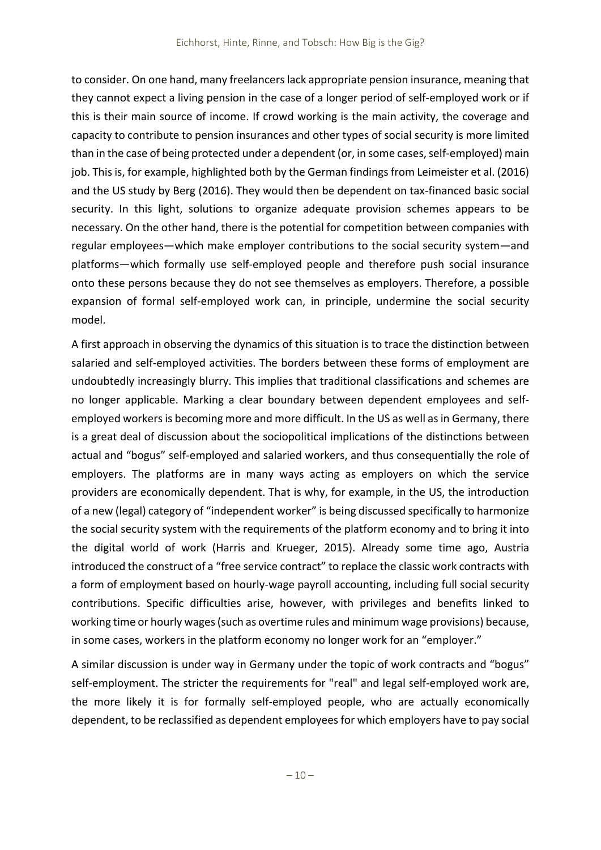to consider. On one hand, many freelancerslack appropriate pension insurance, meaning that they cannot expect a living pension in the case of a longer period of self‐employed work or if this is their main source of income. If crowd working is the main activity, the coverage and capacity to contribute to pension insurances and other types of social security is more limited than in the case of being protected under a dependent (or, in some cases, self-employed) main job. Thisis, for example, highlighted both by the German findings from Leimeister et al. (2016) and the US study by Berg (2016). They would then be dependent on tax-financed basic social security. In this light, solutions to organize adequate provision schemes appears to be necessary. On the other hand, there is the potential for competition between companies with regular employees—which make employer contributions to the social security system—and platforms—which formally use self‐employed people and therefore push social insurance onto these persons because they do not see themselves as employers. Therefore, a possible expansion of formal self-employed work can, in principle, undermine the social security model.

A first approach in observing the dynamics of this situation is to trace the distinction between salaried and self-employed activities. The borders between these forms of employment are undoubtedly increasingly blurry. This implies that traditional classifications and schemes are no longer applicable. Marking a clear boundary between dependent employees and self‐ employed workers is becoming more and more difficult. In the US as well as in Germany, there is a great deal of discussion about the sociopolitical implications of the distinctions between actual and "bogus" self‐employed and salaried workers, and thus consequentially the role of employers. The platforms are in many ways acting as employers on which the service providers are economically dependent. That is why, for example, in the US, the introduction of a new (legal) category of "independent worker" is being discussed specifically to harmonize the social security system with the requirements of the platform economy and to bring it into the digital world of work (Harris and Krueger, 2015). Already some time ago, Austria introduced the construct of a "free service contract" to replace the classic work contracts with a form of employment based on hourly‐wage payroll accounting, including full social security contributions. Specific difficulties arise, however, with privileges and benefits linked to working time or hourly wages (such as overtime rules and minimum wage provisions) because, in some cases, workers in the platform economy no longer work for an "employer."

A similar discussion is under way in Germany under the topic of work contracts and "bogus" self-employment. The stricter the requirements for "real" and legal self-employed work are, the more likely it is for formally self‐employed people, who are actually economically dependent, to be reclassified as dependent employeesfor which employers have to pay social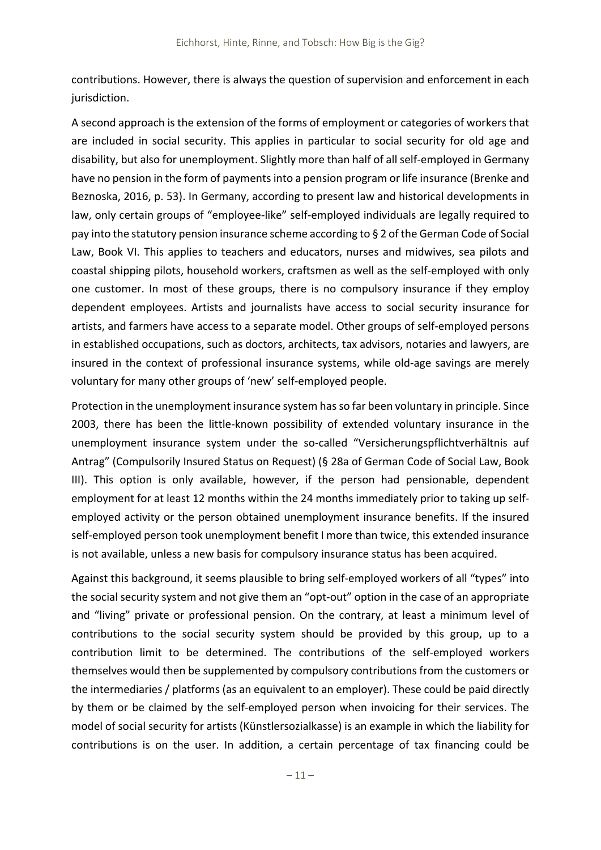contributions. However, there is always the question of supervision and enforcement in each jurisdiction.

A second approach is the extension of the forms of employment or categories of workers that are included in social security. This applies in particular to social security for old age and disability, but also for unemployment. Slightly more than half of all self-employed in Germany have no pension in the form of payments into a pension program or life insurance (Brenke and Beznoska, 2016, p. 53). In Germany, according to present law and historical developments in law, only certain groups of "employee-like" self-employed individuals are legally required to pay into the statutory pension insurance scheme according to § 2 of the German Code of Social Law, Book VI. This applies to teachers and educators, nurses and midwives, sea pilots and coastal shipping pilots, household workers, craftsmen as well as the self‐employed with only one customer. In most of these groups, there is no compulsory insurance if they employ dependent employees. Artists and journalists have access to social security insurance for artists, and farmers have access to a separate model. Other groups of self‐employed persons in established occupations, such as doctors, architects, tax advisors, notaries and lawyers, are insured in the context of professional insurance systems, while old‐age savings are merely voluntary for many other groups of 'new' self‐employed people.

Protection in the unemployment insurance system has so far been voluntary in principle. Since 2003, there has been the little‐known possibility of extended voluntary insurance in the unemployment insurance system under the so-called "Versicherungspflichtverhältnis auf Antrag" (Compulsorily Insured Status on Request) (§ 28a of German Code of Social Law, Book III). This option is only available, however, if the person had pensionable, dependent employment for at least 12 months within the 24 months immediately prior to taking up self‐ employed activity or the person obtained unemployment insurance benefits. If the insured self-employed person took unemployment benefit I more than twice, this extended insurance is not available, unless a new basis for compulsory insurance status has been acquired.

Against this background, it seems plausible to bring self-employed workers of all "types" into the social security system and not give them an "opt‐out" option in the case of an appropriate and "living" private or professional pension. On the contrary, at least a minimum level of contributions to the social security system should be provided by this group, up to a contribution limit to be determined. The contributions of the self‐employed workers themselves would then be supplemented by compulsory contributions from the customers or the intermediaries / platforms (as an equivalent to an employer). These could be paid directly by them or be claimed by the self‐employed person when invoicing for their services. The model of social security for artists (Künstlersozialkasse) is an example in which the liability for contributions is on the user. In addition, a certain percentage of tax financing could be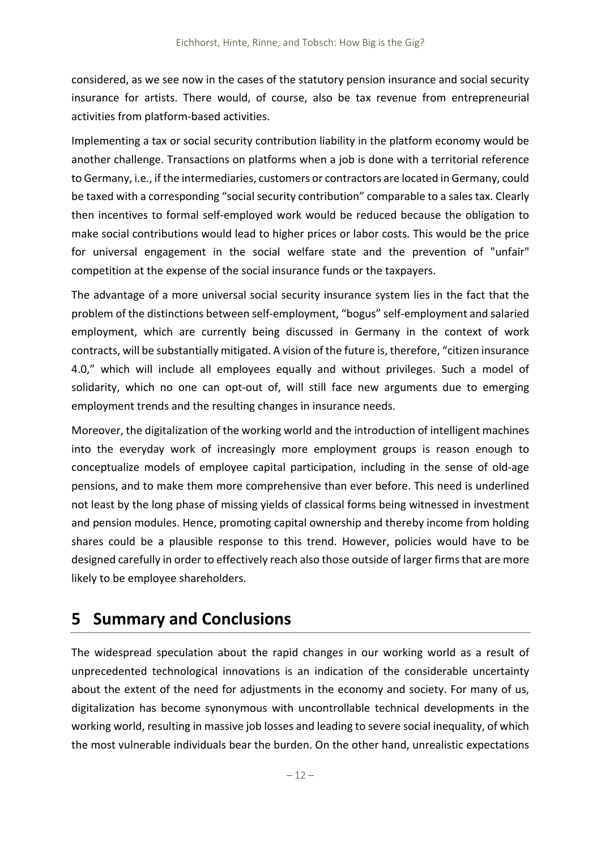considered, as we see now in the cases of the statutory pension insurance and social security insurance for artists. There would, of course, also be tax revenue from entrepreneurial activities from platform‐based activities.

Implementing a tax or social security contribution liability in the platform economy would be another challenge. Transactions on platforms when a job is done with a territorial reference to Germany, i.e., if the intermediaries, customers or contractors are located in Germany, could be taxed with a corresponding "social security contribution" comparable to a sales tax. Clearly then incentives to formal self‐employed work would be reduced because the obligation to make social contributions would lead to higher prices or labor costs. This would be the price for universal engagement in the social welfare state and the prevention of "unfair" competition at the expense of the social insurance funds or the taxpayers.

The advantage of a more universal social security insurance system lies in the fact that the problem of the distinctions between self‐employment, "bogus" self‐employment and salaried employment, which are currently being discussed in Germany in the context of work contracts, will be substantially mitigated. A vision of the future is, therefore, "citizen insurance 4.0," which will include all employees equally and without privileges. Such a model of solidarity, which no one can opt-out of, will still face new arguments due to emerging employment trends and the resulting changes in insurance needs.

Moreover, the digitalization of the working world and the introduction of intelligent machines into the everyday work of increasingly more employment groups is reason enough to conceptualize models of employee capital participation, including in the sense of old‐age pensions, and to make them more comprehensive than ever before. This need is underlined not least by the long phase of missing yields of classical forms being witnessed in investment and pension modules. Hence, promoting capital ownership and thereby income from holding shares could be a plausible response to this trend. However, policies would have to be designed carefully in order to effectively reach also those outside of larger firms that are more likely to be employee shareholders.

## **5 Summary and Conclusions**

The widespread speculation about the rapid changes in our working world as a result of unprecedented technological innovations is an indication of the considerable uncertainty about the extent of the need for adjustments in the economy and society. For many of us, digitalization has become synonymous with uncontrollable technical developments in the working world, resulting in massive job losses and leading to severe social inequality, of which the most vulnerable individuals bear the burden. On the other hand, unrealistic expectations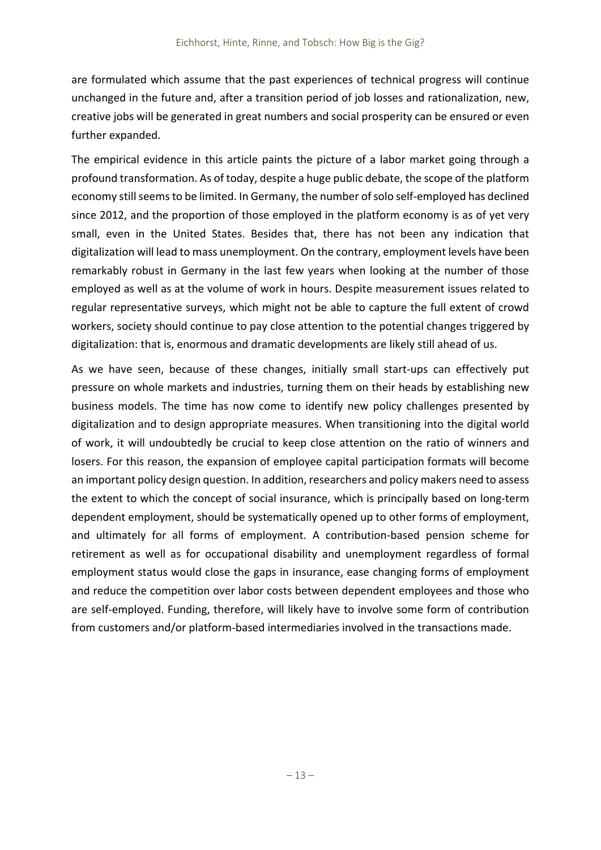are formulated which assume that the past experiences of technical progress will continue unchanged in the future and, after a transition period of job losses and rationalization, new, creative jobs will be generated in great numbers and social prosperity can be ensured or even further expanded.

The empirical evidence in this article paints the picture of a labor market going through a profound transformation. As of today, despite a huge public debate, the scope of the platform economy still seems to be limited. In Germany, the number of solo self-employed has declined since 2012, and the proportion of those employed in the platform economy is as of yet very small, even in the United States. Besides that, there has not been any indication that digitalization will lead to mass unemployment. On the contrary, employment levels have been remarkably robust in Germany in the last few years when looking at the number of those employed as well as at the volume of work in hours. Despite measurement issues related to regular representative surveys, which might not be able to capture the full extent of crowd workers, society should continue to pay close attention to the potential changes triggered by digitalization: that is, enormous and dramatic developments are likely still ahead of us.

As we have seen, because of these changes, initially small start-ups can effectively put pressure on whole markets and industries, turning them on their heads by establishing new business models. The time has now come to identify new policy challenges presented by digitalization and to design appropriate measures. When transitioning into the digital world of work, it will undoubtedly be crucial to keep close attention on the ratio of winners and losers. For this reason, the expansion of employee capital participation formats will become an important policy design question. In addition, researchers and policy makers need to assess the extent to which the concept of social insurance, which is principally based on long-term dependent employment, should be systematically opened up to other forms of employment, and ultimately for all forms of employment. A contribution-based pension scheme for retirement as well as for occupational disability and unemployment regardless of formal employment status would close the gaps in insurance, ease changing forms of employment and reduce the competition over labor costs between dependent employees and those who are self-employed. Funding, therefore, will likely have to involve some form of contribution from customers and/or platform‐based intermediaries involved in the transactions made.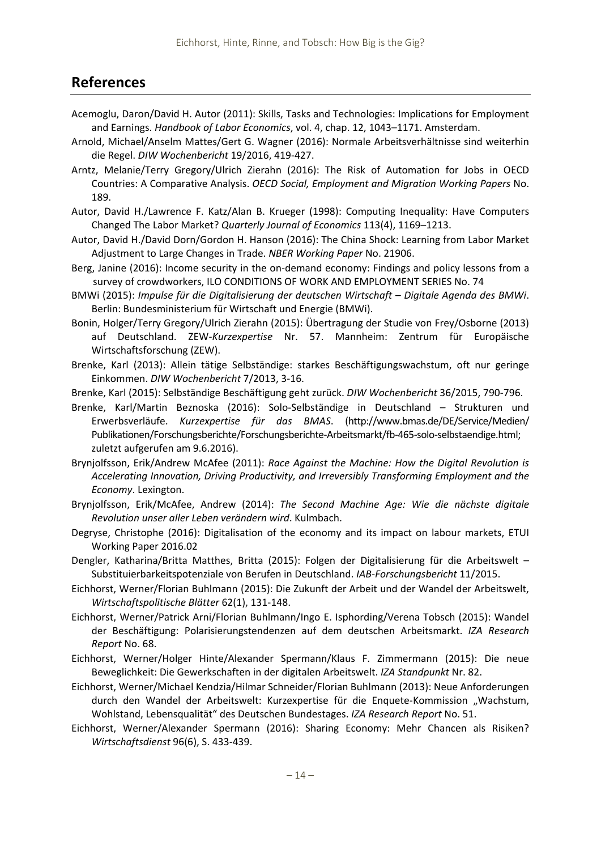### **References**

- Acemoglu, Daron/David H. Autor (2011): Skills, Tasks and Technologies: Implications for Employment and Earnings. *Handbook of Labor Economics*, vol. 4, chap. 12, 1043–1171. Amsterdam.
- Arnold, Michael/Anselm Mattes/Gert G. Wagner (2016): Normale Arbeitsverhältnisse sind weiterhin die Regel. *DIW Wochenbericht* 19/2016, 419‐427.
- Arntz, Melanie/Terry Gregory/Ulrich Zierahn (2016): The Risk of Automation for Jobs in OECD Countries: A Comparative Analysis. *OECD Social, Employment and Migration Working Papers* No. 189.
- Autor, David H./Lawrence F. Katz/Alan B. Krueger (1998): Computing Inequality: Have Computers Changed The Labor Market? *Quarterly Journal of Economics* 113(4), 1169–1213.
- Autor, David H./David Dorn/Gordon H. Hanson (2016): The China Shock: Learning from Labor Market Adjustment to Large Changes in Trade. *NBER Working Paper* No. 21906.
- Berg, Janine (2016): Income security in the on-demand economy: Findings and policy lessons from a survey of crowdworkers, ILO CONDITIONS OF WORK AND EMPLOYMENT SERIES No. 74
- BMWi (2015): *Impulse für die Digitalisierung der deutschen Wirtschaft – Digitale Agenda des BMWi*. Berlin: Bundesministerium für Wirtschaft und Energie (BMWi).
- Bonin, Holger/Terry Gregory/Ulrich Zierahn (2015): Übertragung der Studie von Frey/Osborne (2013) auf Deutschland. ZEW‐*Kurzexpertise* Nr. 57. Mannheim: Zentrum für Europäische Wirtschaftsforschung (ZEW).
- Brenke, Karl (2013): Allein tätige Selbständige: starkes Beschäftigungswachstum, oft nur geringe Einkommen. *DIW Wochenbericht* 7/2013, 3‐16.
- Brenke, Karl (2015): Selbständige Beschäftigung geht zurück. *DIW Wochenbericht* 36/2015, 790‐796.
- Brenke, Karl/Martin Beznoska (2016): Solo‐Selbständige in Deutschland Strukturen und Erwerbsverläufe. *Kurzexpertise für das BMAS*. (http://www.bmas.de/DE/Service/Medien/ Publikationen/Forschungsberichte/Forschungsberichte‐Arbeitsmarkt/fb‐465‐solo‐selbstaendige.html; zuletzt aufgerufen am 9.6.2016).
- Brynjolfsson, Erik/Andrew McAfee (2011): *Race Against the Machine: How the Digital Revolution is Accelerating Innovation, Driving Productivity, and Irreversibly Transforming Employment and the Economy*. Lexington.
- Brynjolfsson, Erik/McAfee, Andrew (2014): *The Second Machine Age: Wie die nächste digitale Revolution unser aller Leben verändern wird*. Kulmbach.
- Degryse, Christophe (2016): Digitalisation of the economy and its impact on labour markets, ETUI Working Paper 2016.02
- Dengler, Katharina/Britta Matthes, Britta (2015): Folgen der Digitalisierung für die Arbeitswelt Substituierbarkeitspotenziale von Berufen in Deutschland. *IAB‐Forschungsbericht* 11/2015.
- Eichhorst, Werner/Florian Buhlmann (2015): Die Zukunft der Arbeit und der Wandel der Arbeitswelt, *Wirtschaftspolitische Blätter* 62(1), 131‐148.
- Eichhorst, Werner/Patrick Arni/Florian Buhlmann/Ingo E. Isphording/Verena Tobsch (2015): Wandel der Beschäftigung: Polarisierungstendenzen auf dem deutschen Arbeitsmarkt. *IZA Research Report* No. 68.
- Eichhorst, Werner/Holger Hinte/Alexander Spermann/Klaus F. Zimmermann (2015): Die neue Beweglichkeit: Die Gewerkschaften in der digitalen Arbeitswelt. *IZA Standpunkt* Nr. 82.
- Eichhorst, Werner/Michael Kendzia/Hilmar Schneider/Florian Buhlmann (2013): Neue Anforderungen durch den Wandel der Arbeitswelt: Kurzexpertise für die Enquete-Kommission "Wachstum, Wohlstand, Lebensqualität" des Deutschen Bundestages. *IZA Research Report* No. 51.
- Eichhorst, Werner/Alexander Spermann (2016): Sharing Economy: Mehr Chancen als Risiken? *Wirtschaftsdienst* 96(6), S. 433‐439.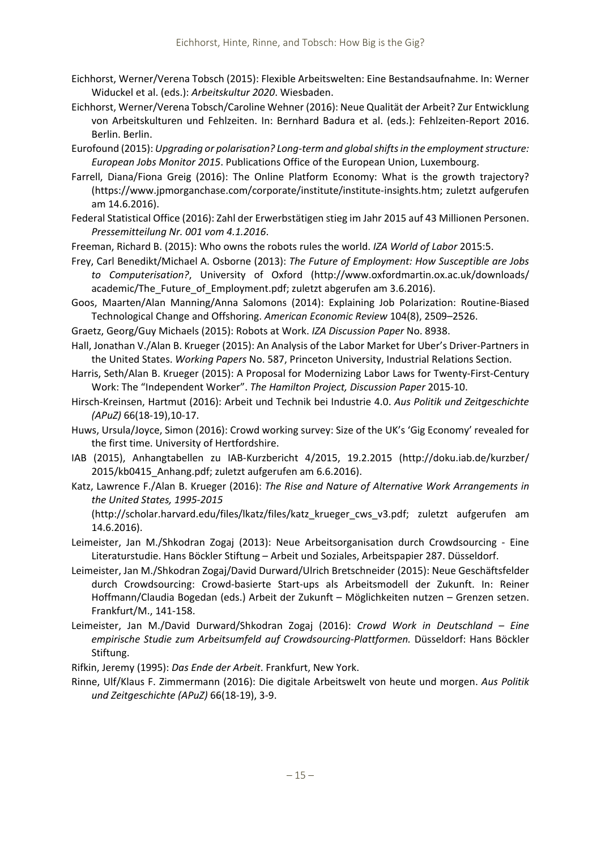- Eichhorst, Werner/Verena Tobsch (2015): Flexible Arbeitswelten: Eine Bestandsaufnahme. In: Werner Widuckel et al. (eds.): *Arbeitskultur 2020*. Wiesbaden.
- Eichhorst, Werner/Verena Tobsch/Caroline Wehner (2016): Neue Qualität der Arbeit? Zur Entwicklung von Arbeitskulturen und Fehlzeiten. In: Bernhard Badura et al. (eds.): Fehlzeiten‐Report 2016. Berlin. Berlin.
- Eurofound (2015): *Upgrading or polarisation? Long‐term and globalshiftsin the employmentstructure: European Jobs Monitor 2015*. Publications Office of the European Union, Luxembourg.
- Farrell, Diana/Fiona Greig (2016): The Online Platform Economy: What is the growth trajectory? (https://www.jpmorganchase.com/corporate/institute/institute‐insights.htm; zuletzt aufgerufen am 14.6.2016).
- Federal Statistical Office (2016): Zahl der Erwerbstätigen stieg im Jahr 2015 auf 43 Millionen Personen. *Pressemitteilung Nr. 001 vom 4.1.2016*.
- Freeman, Richard B. (2015): Who owns the robots rules the world. *IZA World of Labor* 2015:5.
- Frey, Carl Benedikt/Michael A. Osborne (2013): *The Future of Employment: How Susceptible are Jobs to Computerisation?*, University of Oxford (http://www.oxfordmartin.ox.ac.uk/downloads/ academic/The\_Future\_of\_Employment.pdf; zuletzt abgerufen am 3.6.2016).
- Goos, Maarten/Alan Manning/Anna Salomons (2014): Explaining Job Polarization: Routine‐Biased Technological Change and Offshoring. *American Economic Review* 104(8), 2509–2526.
- Graetz, Georg/Guy Michaels (2015): Robots at Work. *IZA Discussion Paper* No. 8938.
- Hall, Jonathan V./Alan B. Krueger (2015): An Analysis of the Labor Market for Uber's Driver‐Partners in the United States. *Working Papers* No. 587, Princeton University, Industrial Relations Section.
- Harris, Seth/Alan B. Krueger (2015): A Proposal for Modernizing Labor Laws for Twenty‐First‐Century Work: The "Independent Worker". *The Hamilton Project, Discussion Paper* 2015‐10.
- Hirsch‐Kreinsen, Hartmut (2016): Arbeit und Technik bei Industrie 4.0. *Aus Politik und Zeitgeschichte (APuZ)* 66(18‐19),10‐17.
- Huws, Ursula/Joyce, Simon (2016): Crowd working survey: Size of the UK's 'Gig Economy' revealed for the first time. University of Hertfordshire.
- IAB (2015), Anhangtabellen zu IAB‐Kurzbericht 4/2015, 19.2.2015 (http://doku.iab.de/kurzber/ 2015/kb0415\_Anhang.pdf; zuletzt aufgerufen am 6.6.2016).
- Katz, Lawrence F./Alan B. Krueger (2016): *The Rise and Nature of Alternative Work Arrangements in the United States, 1995‐2015*

(http://scholar.harvard.edu/files/lkatz/files/katz\_krueger\_cws\_v3.pdf; zuletzt aufgerufen am 14.6.2016).

- Leimeister, Jan M./Shkodran Zogaj (2013): Neue Arbeitsorganisation durch Crowdsourcing ‐ Eine Literaturstudie. Hans Böckler Stiftung – Arbeit und Soziales, Arbeitspapier 287. Düsseldorf.
- Leimeister, Jan M./Shkodran Zogaj/David Durward/Ulrich Bretschneider (2015): Neue Geschäftsfelder durch Crowdsourcing: Crowd‐basierte Start‐ups als Arbeitsmodell der Zukunft. In: Reiner Hoffmann/Claudia Bogedan (eds.) Arbeit der Zukunft – Möglichkeiten nutzen – Grenzen setzen. Frankfurt/M., 141‐158.
- Leimeister, Jan M./David Durward/Shkodran Zogaj (2016): *Crowd Work in Deutschland – Eine empirische Studie zum Arbeitsumfeld auf Crowdsourcing‐Plattformen.* Düsseldorf: Hans Böckler Stiftung.

Rifkin, Jeremy (1995): *Das Ende der Arbeit*. Frankfurt, New York.

Rinne, Ulf/Klaus F. Zimmermann (2016): Die digitale Arbeitswelt von heute und morgen. *Aus Politik und Zeitgeschichte (APuZ)* 66(18‐19), 3‐9.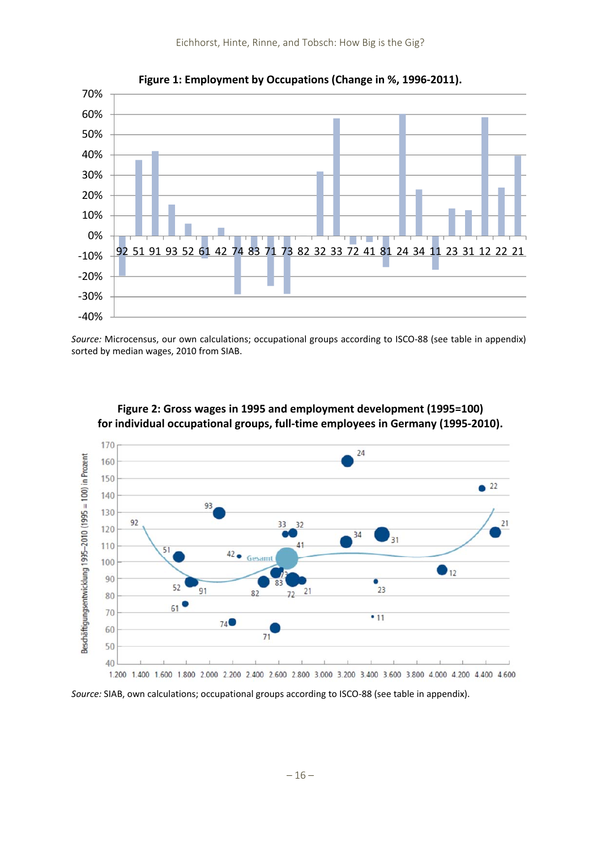

**Figure 1: Employment by Occupations (Change in %, 1996‐2011).**

*Source:* Microcensus, our own calculations; occupational groups according to ISCO‐88 (see table in appendix) sorted by median wages, 2010 from SIAB.



**Figure 2: Gross wages in 1995 and employment development (1995=100) for individual occupational groups, full‐time employees in Germany (1995‐2010).**

*Source:* SIAB, own calculations; occupational groups according to ISCO-88 (see table in appendix).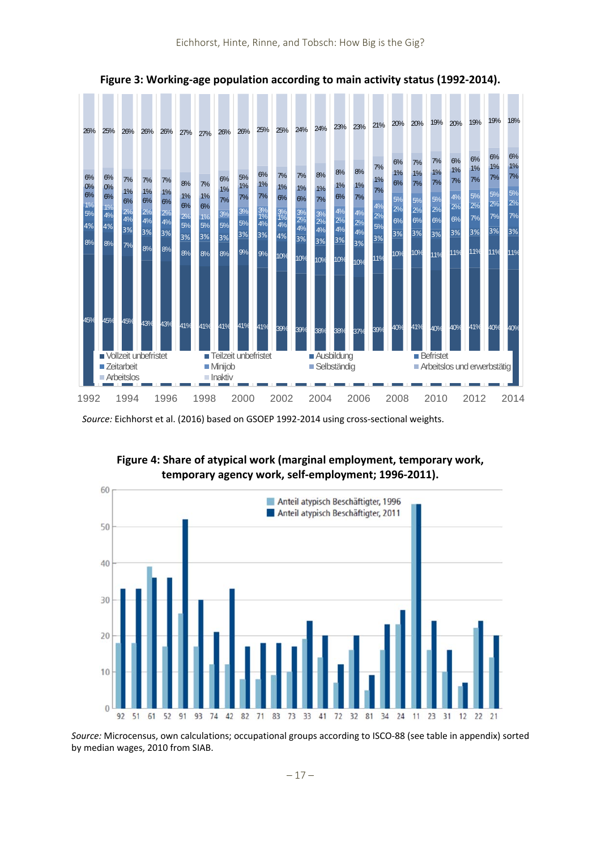

**Figure 3: Working‐age population according to main activity status (1992‐2014).**

*Source:* Eichhorst et al. (2016) based on GSOEP 1992‐2014 using cross‐sectional weights.







*Source:* Microcensus, own calculations; occupational groups according to ISCO‐88 (see table in appendix) sorted by median wages, 2010 from SIAB.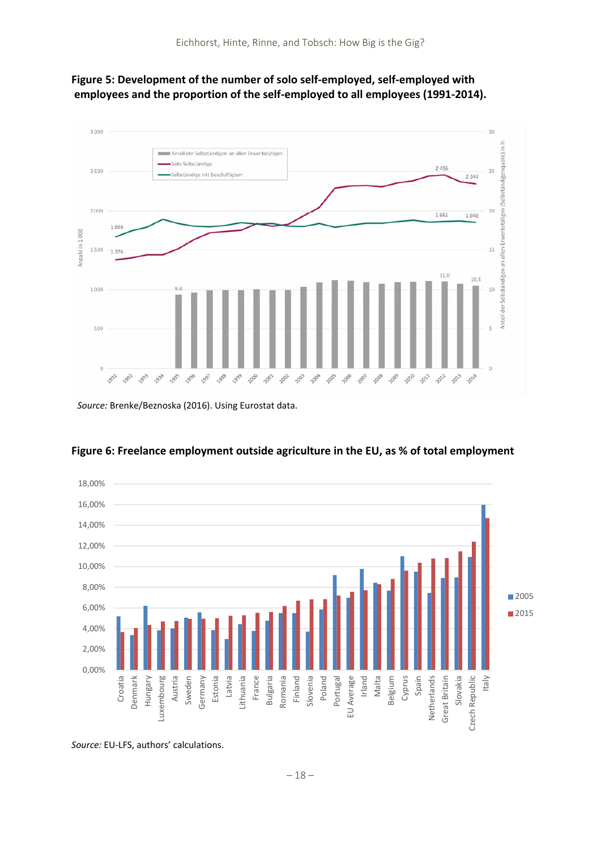



*Source:* Brenke/Beznoska (2016). Using Eurostat data.



**Figure 6: Freelance employment outside agriculture in the EU, as % of total employment**

*Source:* EU‐LFS, authors' calculations.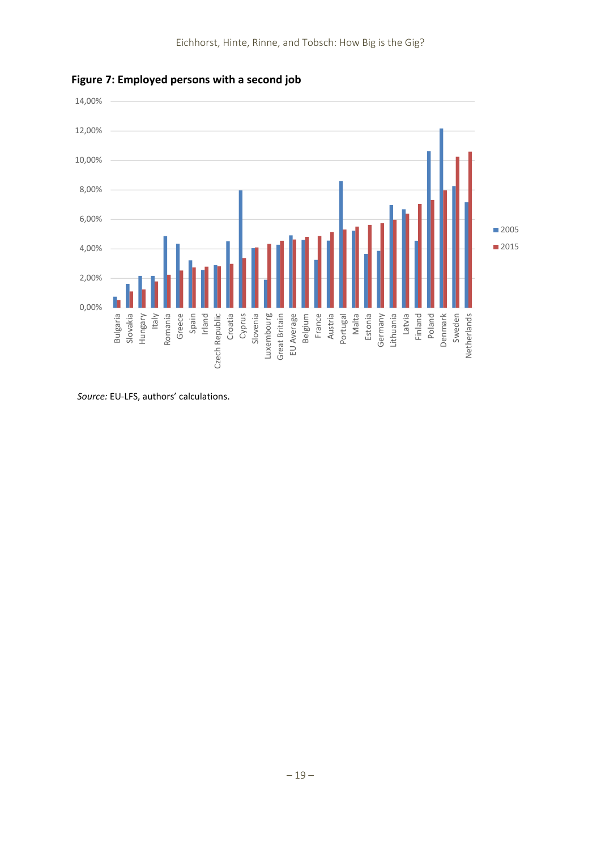



*Source:* EU‐LFS, authors' calculations.